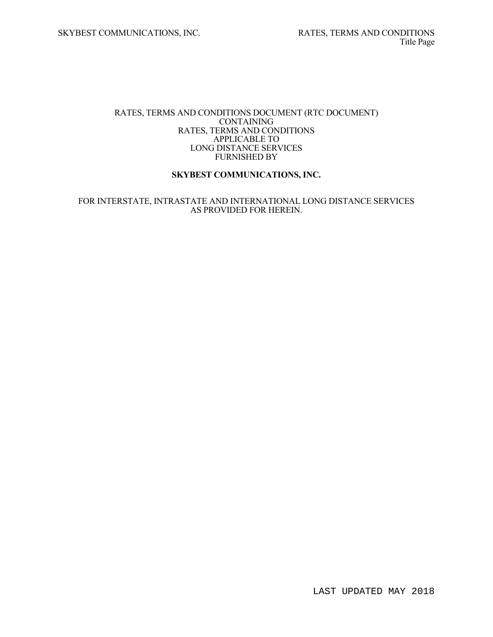#### RATES, TERMS AND CONDITIONS DOCUMENT (RTC DOCUMENT) **CONTAINING**  RATES, TERMS AND CONDITIONS APPLICABLE TO LONG DISTANCE SERVICES FURNISHED BY

### **SKYBEST COMMUNICATIONS, INC.**

#### FOR INTERSTATE, INTRASTATE AND INTERNATIONAL LONG DISTANCE SERVICES AS PROVIDED FOR HEREIN.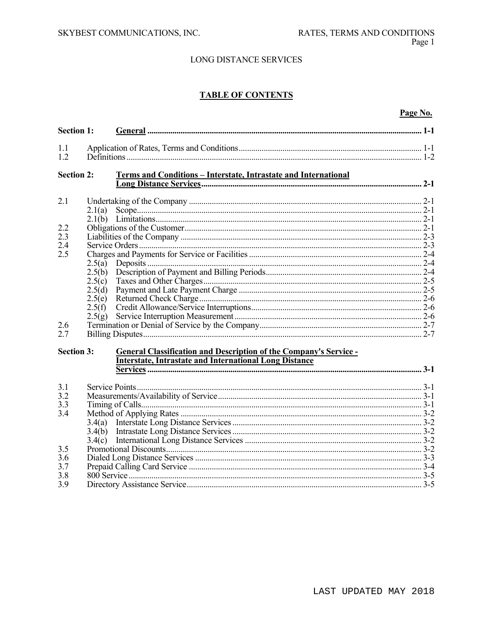# **TABLE OF CONTENTS**

## Page No.

| <b>Section 1:</b> |                            |                                                                                                                                           |  |
|-------------------|----------------------------|-------------------------------------------------------------------------------------------------------------------------------------------|--|
| 1.1<br>1.2        |                            |                                                                                                                                           |  |
| <b>Section 2:</b> |                            | Terms and Conditions - Interstate, Intrastate and International                                                                           |  |
| 2.1               | 2.1(a)                     |                                                                                                                                           |  |
| 2.2<br>2.3        |                            |                                                                                                                                           |  |
| 2.4<br>2.5        | 2.5(a)                     |                                                                                                                                           |  |
|                   | 2.5(b)<br>2.5(c)<br>2.5(d) |                                                                                                                                           |  |
|                   | 2.5(e)<br>2.5(f)           |                                                                                                                                           |  |
| 2.6<br>2.7        | 2.5(g)                     |                                                                                                                                           |  |
| <b>Section 3:</b> |                            | <b>General Classification and Description of the Company's Service -</b><br><b>Interstate, Intrastate and International Long Distance</b> |  |
| 3.1<br>3.2        |                            |                                                                                                                                           |  |
| 3.3<br>3.4        | 3.4(a)                     |                                                                                                                                           |  |
| 3.5               | 3.4(b)<br>3.4(c)           |                                                                                                                                           |  |
| 3.6<br>3.7<br>3.8 |                            |                                                                                                                                           |  |
| 3.9               |                            |                                                                                                                                           |  |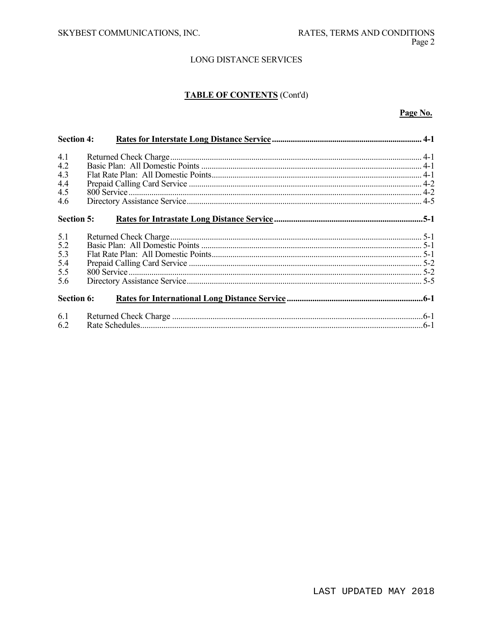# **TABLE OF CONTENTS** (Cont'd)

#### Page No.

| <b>Section 4:</b> |  |
|-------------------|--|
| 4.1               |  |
| 4.2               |  |
| 4.3               |  |
| 4.4               |  |
| 4.5               |  |
| 4.6               |  |
| <b>Section 5:</b> |  |
| 5.1               |  |
| 5.2               |  |
| 5.3               |  |
| 5.4               |  |
| 5.5               |  |
| 5.6               |  |
| <b>Section 6:</b> |  |
| 6.1<br>6.2        |  |
|                   |  |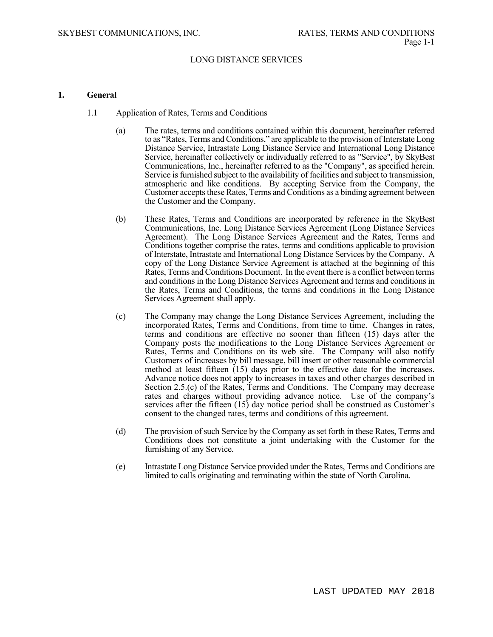#### **1. General**

- 1.1 Application of Rates, Terms and Conditions
	- (a) The rates, terms and conditions contained within this document, hereinafter referred to as "Rates, Terms and Conditions," are applicable to the provision of Interstate Long Distance Service, Intrastate Long Distance Service and International Long Distance Service, hereinafter collectively or individually referred to as "Service", by SkyBest Communications, Inc., hereinafter referred to as the "Company", as specified herein. Service is furnished subject to the availability of facilities and subject to transmission, atmospheric and like conditions. By accepting Service from the Company, the Customer accepts these Rates, Terms and Conditions as a binding agreement between the Customer and the Company.
	- (b) These Rates, Terms and Conditions are incorporated by reference in the SkyBest Communications, Inc. Long Distance Services Agreement (Long Distance Services Agreement). The Long Distance Services Agreement and the Rates, Terms and Conditions together comprise the rates, terms and conditions applicable to provision of Interstate, Intrastate and International Long Distance Services by the Company. A copy of the Long Distance Service Agreement is attached at the beginning of this Rates, Terms and Conditions Document. In the event there is a conflict between terms and conditions in the Long Distance Services Agreement and terms and conditions in the Rates, Terms and Conditions, the terms and conditions in the Long Distance Services Agreement shall apply.
	- (c) The Company may change the Long Distance Services Agreement, including the incorporated Rates, Terms and Conditions, from time to time. Changes in rates, terms and conditions are effective no sooner than fifteen (15) days after the Company posts the modifications to the Long Distance Services Agreement or Rates, Terms and Conditions on its web site. The Company will also notify Customers of increases by bill message, bill insert or other reasonable commercial method at least fifteen (15) days prior to the effective date for the increases. Advance notice does not apply to increases in taxes and other charges described in Section 2.5.(c) of the Rates, Terms and Conditions. The Company may decrease rates and charges without providing advance notice. Use of the company's services after the fifteen (15) day notice period shall be construed as Customer's consent to the changed rates, terms and conditions of this agreement.
	- (d) The provision of such Service by the Company as set forth in these Rates, Terms and Conditions does not constitute a joint undertaking with the Customer for the furnishing of any Service.
	- (e) Intrastate Long Distance Service provided under the Rates, Terms and Conditions are limited to calls originating and terminating within the state of North Carolina.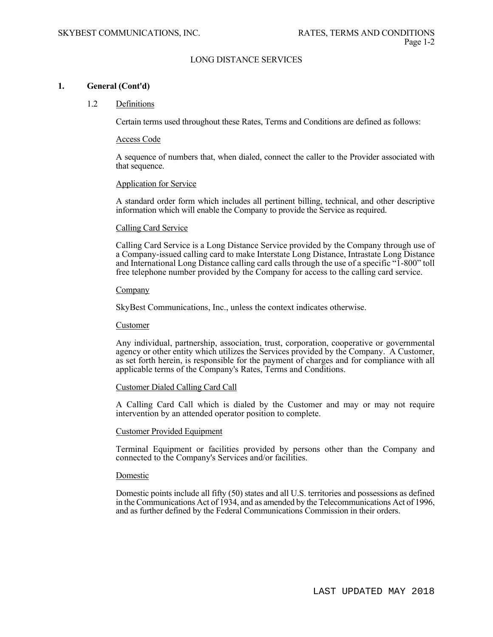#### **1. General (Cont'd)**

#### 1.2 Definitions

Certain terms used throughout these Rates, Terms and Conditions are defined as follows:

#### Access Code

A sequence of numbers that, when dialed, connect the caller to the Provider associated with that sequence.

#### Application for Service

A standard order form which includes all pertinent billing, technical, and other descriptive information which will enable the Company to provide the Service as required.

#### Calling Card Service

Calling Card Service is a Long Distance Service provided by the Company through use of a Company-issued calling card to make Interstate Long Distance, Intrastate Long Distance and International Long Distance calling card calls through the use of a specific "1-800" toll free telephone number provided by the Company for access to the calling card service.

#### **Company**

SkyBest Communications, Inc., unless the context indicates otherwise.

#### Customer

Any individual, partnership, association, trust, corporation, cooperative or governmental agency or other entity which utilizes the Services provided by the Company. A Customer, as set forth herein, is responsible for the payment of charges and for compliance with all applicable terms of the Company's Rates, Terms and Conditions.

#### Customer Dialed Calling Card Call

A Calling Card Call which is dialed by the Customer and may or may not require intervention by an attended operator position to complete.

#### Customer Provided Equipment

Terminal Equipment or facilities provided by persons other than the Company and connected to the Company's Services and/or facilities.

#### Domestic

Domestic points include all fifty (50) states and all U.S. territories and possessions as defined in the Communications Act of 1934, and as amended by the Telecommunications Act of 1996, and as further defined by the Federal Communications Commission in their orders.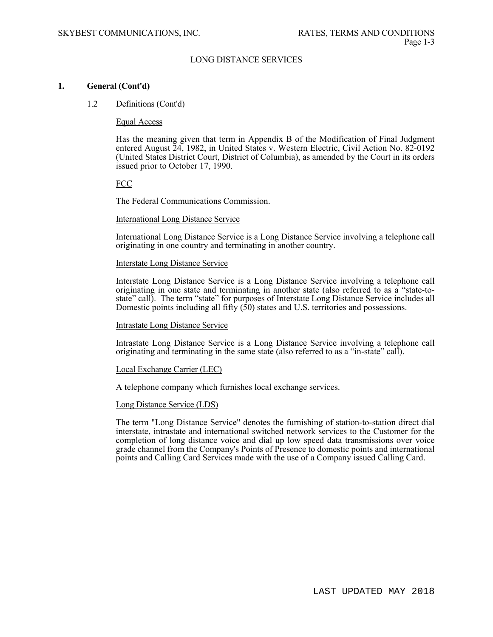#### **1. General (Cont'd)**

#### 1.2 Definitions (Cont'd)

#### Equal Access

Has the meaning given that term in Appendix B of the Modification of Final Judgment entered August  $\tilde{24}$ , 1982, in United States v. Western Electric, Civil Action No. 82-0192 (United States District Court, District of Columbia), as amended by the Court in its orders issued prior to October 17, 1990.

#### FCC

The Federal Communications Commission.

#### International Long Distance Service

International Long Distance Service is a Long Distance Service involving a telephone call originating in one country and terminating in another country.

#### Interstate Long Distance Service

Interstate Long Distance Service is a Long Distance Service involving a telephone call originating in one state and terminating in another state (also referred to as a "state-tostate" call). The term "state" for purposes of Interstate Long Distance Service includes all Domestic points including all fifty  $(50)$  states and U.S. territories and possessions.

#### Intrastate Long Distance Service

Intrastate Long Distance Service is a Long Distance Service involving a telephone call originating and terminating in the same state (also referred to as a "in-state" call).

#### Local Exchange Carrier (LEC)

A telephone company which furnishes local exchange services.

#### Long Distance Service (LDS)

The term "Long Distance Service" denotes the furnishing of station-to-station direct dial interstate, intrastate and international switched network services to the Customer for the completion of long distance voice and dial up low speed data transmissions over voice grade channel from the Company's Points of Presence to domestic points and international points and Calling Card Services made with the use of a Company issued Calling Card.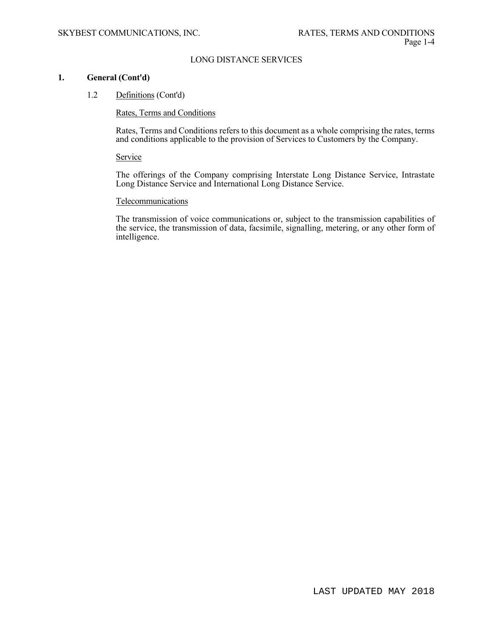#### **1. General (Cont'd)**

1.2 Definitions (Cont'd)

Rates, Terms and Conditions

Rates, Terms and Conditions refers to this document as a whole comprising the rates, terms and conditions applicable to the provision of Services to Customers by the Company.

**Service** 

The offerings of the Company comprising Interstate Long Distance Service, Intrastate Long Distance Service and International Long Distance Service.

#### Telecommunications

The transmission of voice communications or, subject to the transmission capabilities of the service, the transmission of data, facsimile, signalling, metering, or any other form of intelligence.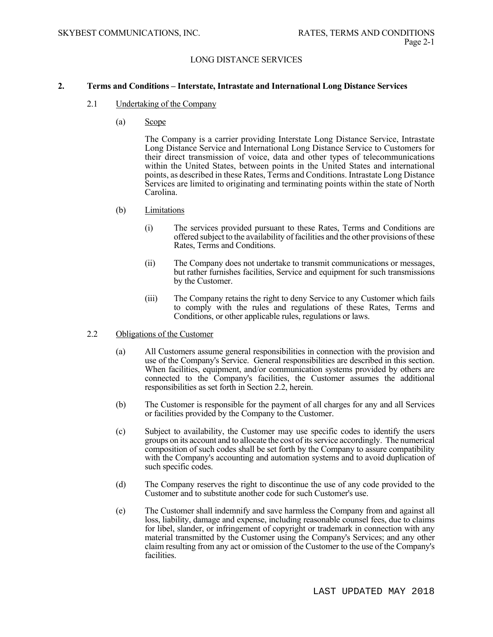#### **2. Terms and Conditions – Interstate, Intrastate and International Long Distance Services**

- 2.1 Undertaking of the Company
	- (a) Scope

 The Company is a carrier providing Interstate Long Distance Service, Intrastate Long Distance Service and International Long Distance Service to Customers for their direct transmission of voice, data and other types of telecommunications within the United States, between points in the United States and international points, as described in these Rates, Terms and Conditions. Intrastate Long Distance Services are limited to originating and terminating points within the state of North Carolina.

- (b) Limitations
	- (i) The services provided pursuant to these Rates, Terms and Conditions are offered subject to the availability of facilities and the other provisions of these Rates, Terms and Conditions.
	- (ii) The Company does not undertake to transmit communications or messages, but rather furnishes facilities, Service and equipment for such transmissions by the Customer.
	- (iii) The Company retains the right to deny Service to any Customer which fails to comply with the rules and regulations of these Rates, Terms and Conditions, or other applicable rules, regulations or laws.
- 2.2 Obligations of the Customer
	- (a) All Customers assume general responsibilities in connection with the provision and use of the Company's Service. General responsibilities are described in this section. When facilities, equipment, and/or communication systems provided by others are connected to the Company's facilities, the Customer assumes the additional responsibilities as set forth in Section 2.2, herein.
	- (b) The Customer is responsible for the payment of all charges for any and all Services or facilities provided by the Company to the Customer.
	- (c) Subject to availability, the Customer may use specific codes to identify the users groups on its account and to allocate the cost of its service accordingly. The numerical composition of such codes shall be set forth by the Company to assure compatibility with the Company's accounting and automation systems and to avoid duplication of such specific codes.
	- (d) The Company reserves the right to discontinue the use of any code provided to the Customer and to substitute another code for such Customer's use.
	- (e) The Customer shall indemnify and save harmless the Company from and against all loss, liability, damage and expense, including reasonable counsel fees, due to claims for libel, slander, or infringement of copyright or trademark in connection with any material transmitted by the Customer using the Company's Services; and any other claim resulting from any act or omission of the Customer to the use of the Company's facilities.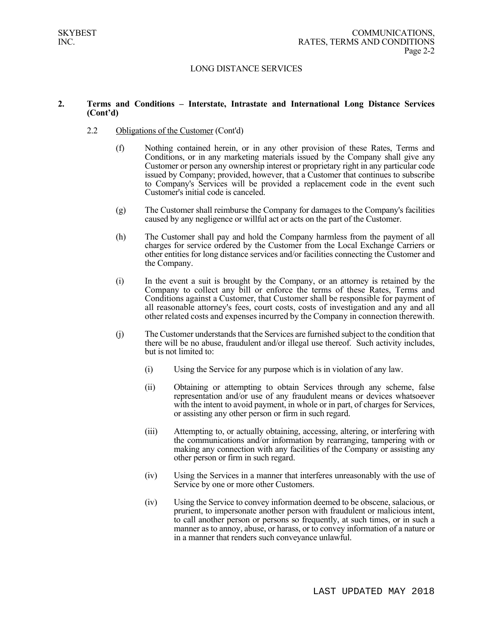#### **2. Terms and Conditions – Interstate, Intrastate and International Long Distance Services (Cont'd)**

- 2.2 Obligations of the Customer (Cont'd)
	- (f) Nothing contained herein, or in any other provision of these Rates, Terms and Conditions, or in any marketing materials issued by the Company shall give any Customer or person any ownership interest or proprietary right in any particular code issued by Company; provided, however, that a Customer that continues to subscribe to Company's Services will be provided a replacement code in the event such Customer's initial code is canceled.
	- (g) The Customer shall reimburse the Company for damages to the Company's facilities caused by any negligence or willful act or acts on the part of the Customer.
	- (h) The Customer shall pay and hold the Company harmless from the payment of all charges for service ordered by the Customer from the Local Exchange Carriers or other entities for long distance services and/or facilities connecting the Customer and the Company.
	- (i) In the event a suit is brought by the Company, or an attorney is retained by the Company to collect any bill or enforce the terms of these Rates, Terms and Conditions against a Customer, that Customer shall be responsible for payment of all reasonable attorney's fees, court costs, costs of investigation and any and all other related costs and expenses incurred by the Company in connection therewith.
	- (j) The Customer understands that the Services are furnished subject to the condition that there will be no abuse, fraudulent and/or illegal use thereof. Such activity includes, but is not limited to:
		- (i) Using the Service for any purpose which is in violation of any law.
		- (ii) Obtaining or attempting to obtain Services through any scheme, false representation and/or use of any fraudulent means or devices whatsoever with the intent to avoid payment, in whole or in part, of charges for Services, or assisting any other person or firm in such regard.
		- (iii) Attempting to, or actually obtaining, accessing, altering, or interfering with the communications and/or information by rearranging, tampering with or making any connection with any facilities of the Company or assisting any other person or firm in such regard.
		- (iv) Using the Services in a manner that interferes unreasonably with the use of Service by one or more other Customers.
		- (iv) Using the Service to convey information deemed to be obscene, salacious, or prurient, to impersonate another person with fraudulent or malicious intent, to call another person or persons so frequently, at such times, or in such a manner as to annoy, abuse, or harass, or to convey information of a nature or in a manner that renders such conveyance unlawful.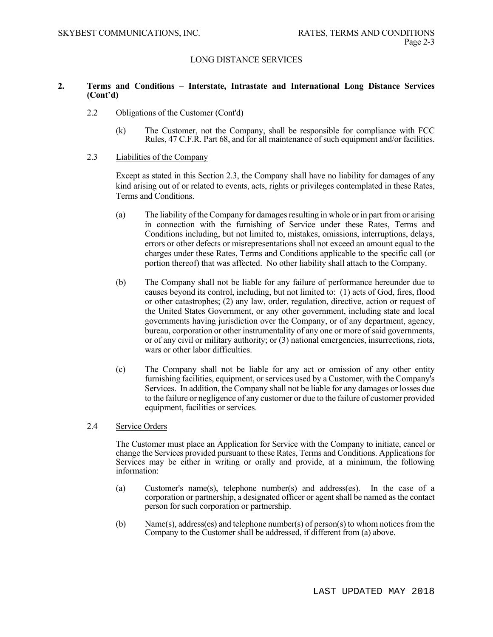#### **2. Terms and Conditions – Interstate, Intrastate and International Long Distance Services (Cont'd)**

- 2.2 Obligations of the Customer (Cont'd)
	- (k) The Customer, not the Company, shall be responsible for compliance with FCC Rules, 47 C.F.R. Part 68, and for all maintenance of such equipment and/or facilities.
- 2.3 Liabilities of the Company

Except as stated in this Section 2.3, the Company shall have no liability for damages of any kind arising out of or related to events, acts, rights or privileges contemplated in these Rates, Terms and Conditions.

- (a) The liability of the Company for damages resulting in whole or in part from or arising in connection with the furnishing of Service under these Rates, Terms and Conditions including, but not limited to, mistakes, omissions, interruptions, delays, errors or other defects or misrepresentations shall not exceed an amount equal to the charges under these Rates, Terms and Conditions applicable to the specific call (or portion thereof) that was affected. No other liability shall attach to the Company.
- (b) The Company shall not be liable for any failure of performance hereunder due to causes beyond its control, including, but not limited to: (1) acts of God, fires, flood or other catastrophes; (2) any law, order, regulation, directive, action or request of the United States Government, or any other government, including state and local governments having jurisdiction over the Company, or of any department, agency, bureau, corporation or other instrumentality of any one or more of said governments, or of any civil or military authority; or (3) national emergencies, insurrections, riots, wars or other labor difficulties.
- (c) The Company shall not be liable for any act or omission of any other entity furnishing facilities, equipment, or services used by a Customer, with the Company's Services. In addition, the Company shall not be liable for any damages or losses due to the failure or negligence of any customer or due to the failure of customer provided equipment, facilities or services.
- 2.4 Service Orders

 The Customer must place an Application for Service with the Company to initiate, cancel or change the Services provided pursuant to these Rates, Terms and Conditions. Applications for Services may be either in writing or orally and provide, at a minimum, the following information:

- (a) Customer's name(s), telephone number(s) and address(es). In the case of a corporation or partnership, a designated officer or agent shall be named as the contact person for such corporation or partnership.
- (b) Name(s), address(es) and telephone number(s) of person(s) to whom notices from the Company to the Customer shall be addressed, if different from (a) above.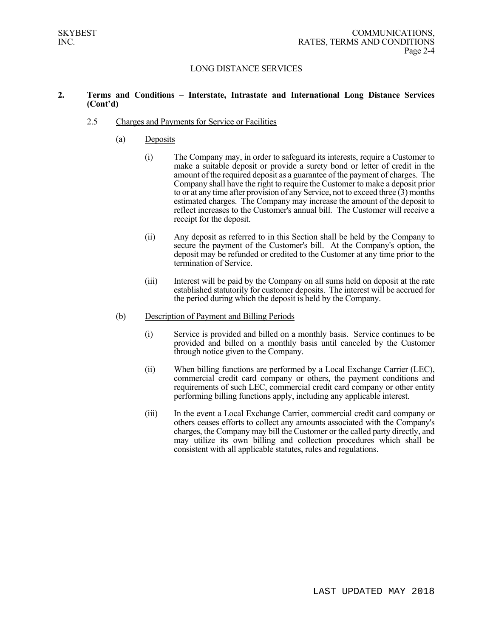#### **2. Terms and Conditions – Interstate, Intrastate and International Long Distance Services (Cont'd)**

#### 2.5 Charges and Payments for Service or Facilities

- (a) Deposits
	- (i) The Company may, in order to safeguard its interests, require a Customer to make a suitable deposit or provide a surety bond or letter of credit in the amount of the required deposit as a guarantee of the payment of charges. The Company shall have the right to require the Customer to make a deposit prior to or at any time after provision of any Service, not to exceed three  $(3)$  months estimated charges. The Company may increase the amount of the deposit to reflect increases to the Customer's annual bill. The Customer will receive a receipt for the deposit.
	- (ii) Any deposit as referred to in this Section shall be held by the Company to secure the payment of the Customer's bill. At the Company's option, the deposit may be refunded or credited to the Customer at any time prior to the termination of Service.
	- (iii) Interest will be paid by the Company on all sums held on deposit at the rate established statutorily for customer deposits. The interest will be accrued for the period during which the deposit is held by the Company.
- (b) Description of Payment and Billing Periods
	- (i) Service is provided and billed on a monthly basis. Service continues to be provided and billed on a monthly basis until canceled by the Customer through notice given to the Company.
	- (ii) When billing functions are performed by a Local Exchange Carrier (LEC), commercial credit card company or others, the payment conditions and requirements of such LEC, commercial credit card company or other entity performing billing functions apply, including any applicable interest.
	- (iii) In the event a Local Exchange Carrier, commercial credit card company or others ceases efforts to collect any amounts associated with the Company's charges, the Company may bill the Customer or the called party directly, and may utilize its own billing and collection procedures which shall be consistent with all applicable statutes, rules and regulations.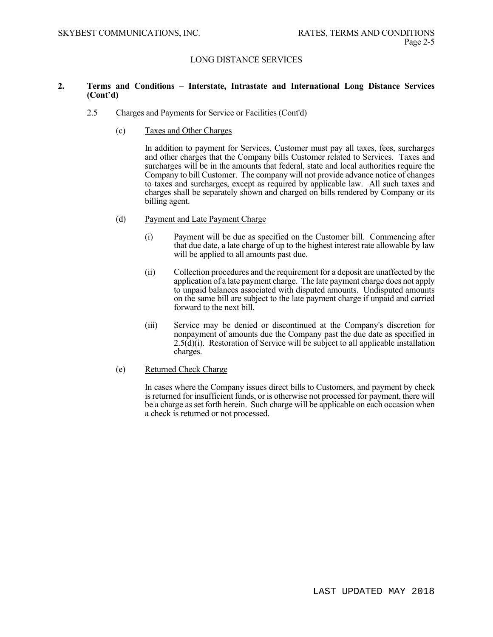#### **2. Terms and Conditions – Interstate, Intrastate and International Long Distance Services (Cont'd)**

- 2.5 Charges and Payments for Service or Facilities (Cont'd)
	- (c) Taxes and Other Charges

In addition to payment for Services, Customer must pay all taxes, fees, surcharges and other charges that the Company bills Customer related to Services. Taxes and surcharges will be in the amounts that federal, state and local authorities require the Company to bill Customer. The company will not provide advance notice of changes to taxes and surcharges, except as required by applicable law. All such taxes and charges shall be separately shown and charged on bills rendered by Company or its billing agent.

- (d) Payment and Late Payment Charge
	- (i) Payment will be due as specified on the Customer bill. Commencing after that due date, a late charge of up to the highest interest rate allowable by law will be applied to all amounts past due.
	- (ii) Collection procedures and the requirement for a deposit are unaffected by the application of a late payment charge. The late payment charge does not apply to unpaid balances associated with disputed amounts. Undisputed amounts on the same bill are subject to the late payment charge if unpaid and carried forward to the next bill.
	- (iii) Service may be denied or discontinued at the Company's discretion for nonpayment of amounts due the Company past the due date as specified in  $2.5(\text{d})(i)$ . Restoration of Service will be subject to all applicable installation charges.

#### (e) Returned Check Charge

In cases where the Company issues direct bills to Customers, and payment by check is returned for insufficient funds, or is otherwise not processed for payment, there will be a charge as set forth herein. Such charge will be applicable on each occasion when a check is returned or not processed.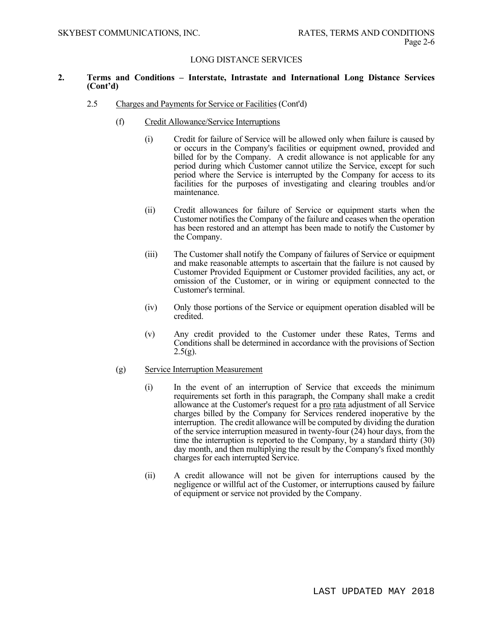#### **2. Terms and Conditions – Interstate, Intrastate and International Long Distance Services (Cont'd)**

- 2.5 Charges and Payments for Service or Facilities (Cont'd)
	- (f) Credit Allowance/Service Interruptions
		- (i) Credit for failure of Service will be allowed only when failure is caused by or occurs in the Company's facilities or equipment owned, provided and billed for by the Company. A credit allowance is not applicable for any period during which Customer cannot utilize the Service, except for such period where the Service is interrupted by the Company for access to its facilities for the purposes of investigating and clearing troubles and/or maintenance.
		- (ii) Credit allowances for failure of Service or equipment starts when the Customer notifies the Company of the failure and ceases when the operation has been restored and an attempt has been made to notify the Customer by the Company.
		- (iii) The Customer shall notify the Company of failures of Service or equipment and make reasonable attempts to ascertain that the failure is not caused by Customer Provided Equipment or Customer provided facilities, any act, or omission of the Customer, or in wiring or equipment connected to the Customer's terminal.
		- (iv) Only those portions of the Service or equipment operation disabled will be credited.
		- (v) Any credit provided to the Customer under these Rates, Terms and Conditions shall be determined in accordance with the provisions of Section  $2.5(g)$ .

#### (g) Service Interruption Measurement

- (i) In the event of an interruption of Service that exceeds the minimum requirements set forth in this paragraph, the Company shall make a credit allowance at the Customer's request for a pro rata adjustment of all Service charges billed by the Company for Services rendered inoperative by the interruption. The credit allowance will be computed by dividing the duration of the service interruption measured in twenty-four (24) hour days, from the time the interruption is reported to the Company, by a standard thirty (30) day month, and then multiplying the result by the Company's fixed monthly charges for each interrupted Service.
- (ii) A credit allowance will not be given for interruptions caused by the negligence or willful act of the Customer, or interruptions caused by failure of equipment or service not provided by the Company.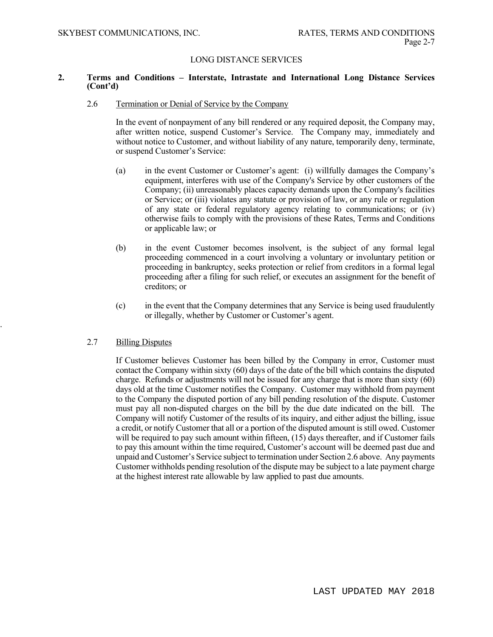#### **2. Terms and Conditions – Interstate, Intrastate and International Long Distance Services (Cont'd)**

#### 2.6 Termination or Denial of Service by the Company

In the event of nonpayment of any bill rendered or any required deposit, the Company may, after written notice, suspend Customer's Service. The Company may, immediately and without notice to Customer, and without liability of any nature, temporarily deny, terminate, or suspend Customer's Service:

- (a) in the event Customer or Customer's agent: (i) willfully damages the Company's equipment, interferes with use of the Company's Service by other customers of the Company; (ii) unreasonably places capacity demands upon the Company's facilities or Service; or (iii) violates any statute or provision of law, or any rule or regulation of any state or federal regulatory agency relating to communications; or (iv) otherwise fails to comply with the provisions of these Rates, Terms and Conditions or applicable law; or
- (b) in the event Customer becomes insolvent, is the subject of any formal legal proceeding commenced in a court involving a voluntary or involuntary petition or proceeding in bankruptcy, seeks protection or relief from creditors in a formal legal proceeding after a filing for such relief, or executes an assignment for the benefit of creditors; or
- (c) in the event that the Company determines that any Service is being used fraudulently or illegally, whether by Customer or Customer's agent.

### 2.7 Billing Disputes

.

If Customer believes Customer has been billed by the Company in error, Customer must contact the Company within sixty (60) days of the date of the bill which contains the disputed charge. Refunds or adjustments will not be issued for any charge that is more than sixty (60) days old at the time Customer notifies the Company. Customer may withhold from payment to the Company the disputed portion of any bill pending resolution of the dispute. Customer must pay all non-disputed charges on the bill by the due date indicated on the bill. The Company will notify Customer of the results of its inquiry, and either adjust the billing, issue a credit, or notify Customer that all or a portion of the disputed amount is still owed. Customer will be required to pay such amount within fifteen, (15) days thereafter, and if Customer fails to pay this amount within the time required, Customer's account will be deemed past due and unpaid and Customer's Service subject to termination under Section 2.6 above. Any payments Customer withholds pending resolution of the dispute may be subject to a late payment charge at the highest interest rate allowable by law applied to past due amounts.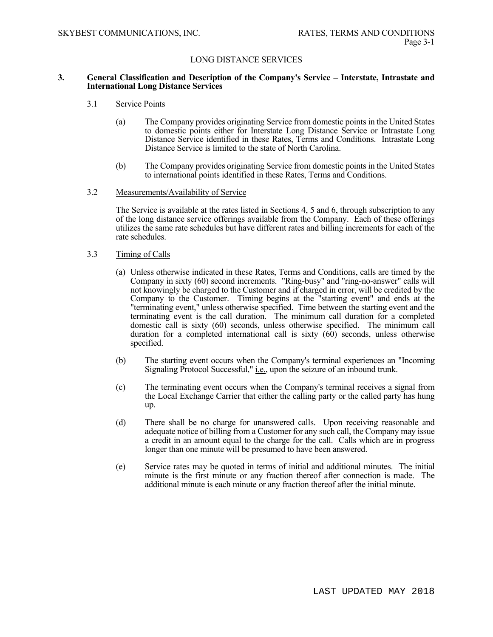#### **3. General Classification and Description of the Company's Service – Interstate, Intrastate and International Long Distance Services**

- 3.1 Service Points
	- (a) The Company provides originating Service from domestic points in the United States to domestic points either for Interstate Long Distance Service or Intrastate Long Distance Service identified in these Rates, Terms and Conditions. Intrastate Long Distance Service is limited to the state of North Carolina.
	- (b) The Company provides originating Service from domestic points in the United States to international points identified in these Rates, Terms and Conditions.

#### 3.2 Measurements/Availability of Service

The Service is available at the rates listed in Sections 4, 5 and 6, through subscription to any of the long distance service offerings available from the Company. Each of these offerings utilizes the same rate schedules but have different rates and billing increments for each of the rate schedules.

#### 3.3 Timing of Calls

- (a) Unless otherwise indicated in these Rates, Terms and Conditions, calls are timed by the Company in sixty (60) second increments. "Ring-busy" and "ring-no-answer" calls will not knowingly be charged to the Customer and if charged in error, will be credited by the Company to the Customer. Timing begins at the "starting event" and ends at the "terminating event," unless otherwise specified. Time between the starting event and the terminating event is the call duration. The minimum call duration for a completed domestic call is sixty (60) seconds, unless otherwise specified. The minimum call duration for a completed international call is sixty (60) seconds, unless otherwise specified.
- (b) The starting event occurs when the Company's terminal experiences an "Incoming Signaling Protocol Successful," *i.e.*, upon the seizure of an inbound trunk.
- (c) The terminating event occurs when the Company's terminal receives a signal from the Local Exchange Carrier that either the calling party or the called party has hung up.
- (d) There shall be no charge for unanswered calls. Upon receiving reasonable and adequate notice of billing from a Customer for any such call, the Company may issue a credit in an amount equal to the charge for the call. Calls which are in progress longer than one minute will be presumed to have been answered.
- (e) Service rates may be quoted in terms of initial and additional minutes. The initial minute is the first minute or any fraction thereof after connection is made. The additional minute is each minute or any fraction thereof after the initial minute.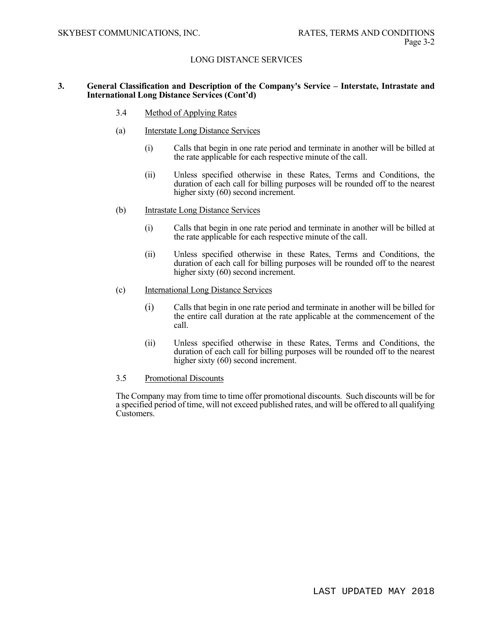#### **3. General Classification and Description of the Company's Service – Interstate, Intrastate and International Long Distance Services (Cont'd)**

- 3.4 Method of Applying Rates
- (a) Interstate Long Distance Services
	- (i) Calls that begin in one rate period and terminate in another will be billed at the rate applicable for each respective minute of the call.
	- (ii) Unless specified otherwise in these Rates, Terms and Conditions, the duration of each call for billing purposes will be rounded off to the nearest higher sixty (60) second increment.
- (b) Intrastate Long Distance Services
	- (i) Calls that begin in one rate period and terminate in another will be billed at the rate applicable for each respective minute of the call.
	- (ii) Unless specified otherwise in these Rates, Terms and Conditions, the duration of each call for billing purposes will be rounded off to the nearest higher sixty (60) second increment.
- (c) International Long Distance Services
	- (i) Calls that begin in one rate period and terminate in another will be billed for the entire call duration at the rate applicable at the commencement of the call.
	- (ii) Unless specified otherwise in these Rates, Terms and Conditions, the duration of each call for billing purposes will be rounded off to the nearest higher sixty (60) second increment.

#### 3.5 Promotional Discounts

 The Company may from time to time offer promotional discounts. Such discounts will be for a specified period of time, will not exceed published rates, and will be offered to all qualifying Customers.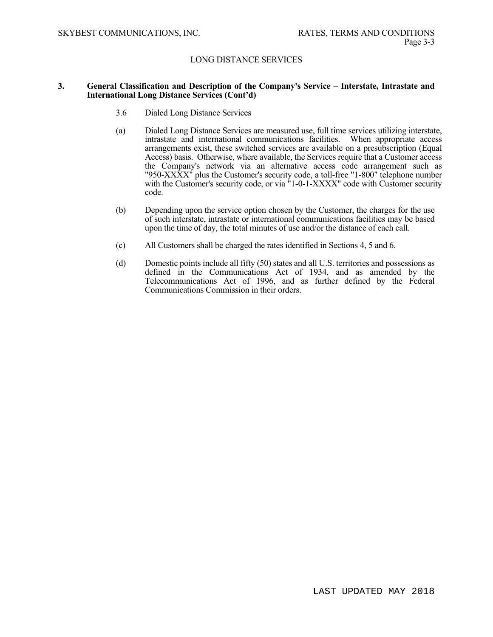#### **3. General Classification and Description of the Company's Service – Interstate, Intrastate and International Long Distance Services (Cont'd)**

- 3.6 Dialed Long Distance Services
- (a) Dialed Long Distance Services are measured use, full time services utilizing interstate, intrastate and international communications facilities. When appropriate access arrangements exist, these switched services are available on a presubscription (Equal Access) basis. Otherwise, where available, the Services require that a Customer access the Company's network via an alternative access code arrangement such as "950- $\overline{XXX}$ <sup>"</sup> plus the Customer's security code, a toll-free "1-800" telephone number with the Customer's security code, or via "1-0-1-XXXX" code with Customer security code.
- (b) Depending upon the service option chosen by the Customer, the charges for the use of such interstate, intrastate or international communications facilities may be based upon the time of day, the total minutes of use and/or the distance of each call.
- (c) All Customers shall be charged the rates identified in Sections 4, 5 and 6.
- (d) Domestic points include all fifty (50) states and all U.S. territories and possessions as defined in the Communications Act of 1934, and as amended by the Telecommunications Act of 1996, and as further defined by the Federal Communications Commission in their orders.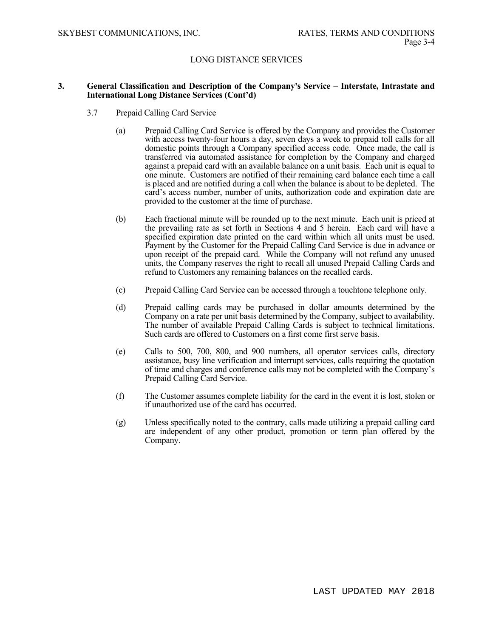#### **3. General Classification and Description of the Company's Service – Interstate, Intrastate and International Long Distance Services (Cont'd)**

- 3.7 Prepaid Calling Card Service
	- (a) Prepaid Calling Card Service is offered by the Company and provides the Customer with access twenty-four hours a day, seven days a week to prepaid toll calls for all domestic points through a Company specified access code. Once made, the call is transferred via automated assistance for completion by the Company and charged against a prepaid card with an available balance on a unit basis. Each unit is equal to one minute. Customers are notified of their remaining card balance each time a call is placed and are notified during a call when the balance is about to be depleted. The card's access number, number of units, authorization code and expiration date are provided to the customer at the time of purchase.
	- (b) Each fractional minute will be rounded up to the next minute. Each unit is priced at the prevailing rate as set forth in Sections 4 and 5 herein. Each card will have a specified expiration date printed on the card within which all units must be used. Payment by the Customer for the Prepaid Calling Card Service is due in advance or upon receipt of the prepaid card. While the Company will not refund any unused units, the Company reserves the right to recall all unused Prepaid Calling Cards and refund to Customers any remaining balances on the recalled cards.
	- (c) Prepaid Calling Card Service can be accessed through a touchtone telephone only.
	- (d) Prepaid calling cards may be purchased in dollar amounts determined by the Company on a rate per unit basis determined by the Company, subject to availability. The number of available Prepaid Calling Cards is subject to technical limitations. Such cards are offered to Customers on a first come first serve basis.
	- (e) Calls to 500, 700, 800, and 900 numbers, all operator services calls, directory assistance, busy line verification and interrupt services, calls requiring the quotation of time and charges and conference calls may not be completed with the Company's Prepaid Calling Card Service.
	- (f) The Customer assumes complete liability for the card in the event it is lost, stolen or if unauthorized use of the card has occurred.
	- (g) Unless specifically noted to the contrary, calls made utilizing a prepaid calling card are independent of any other product, promotion or term plan offered by the Company.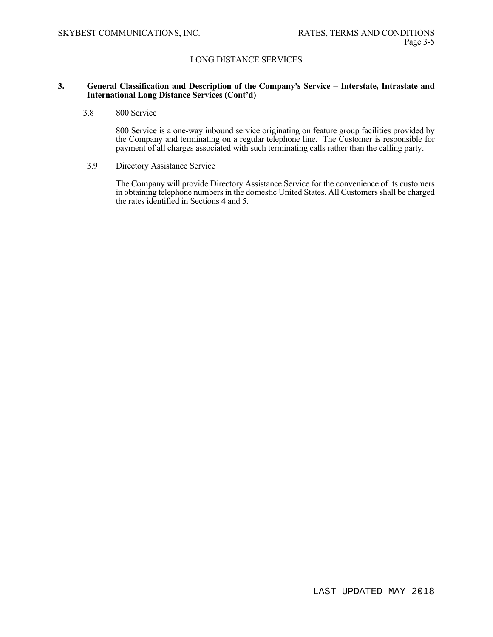#### **3. General Classification and Description of the Company's Service – Interstate, Intrastate and International Long Distance Services (Cont'd)**

### 3.8 800 Service

800 Service is a one-way inbound service originating on feature group facilities provided by the Company and terminating on a regular telephone line. The Customer is responsible for payment of all charges associated with such terminating calls rather than the calling party.

#### 3.9 Directory Assistance Service

The Company will provide Directory Assistance Service for the convenience of its customers in obtaining telephone numbers in the domestic United States. All Customers shall be charged the rates identified in Sections 4 and 5.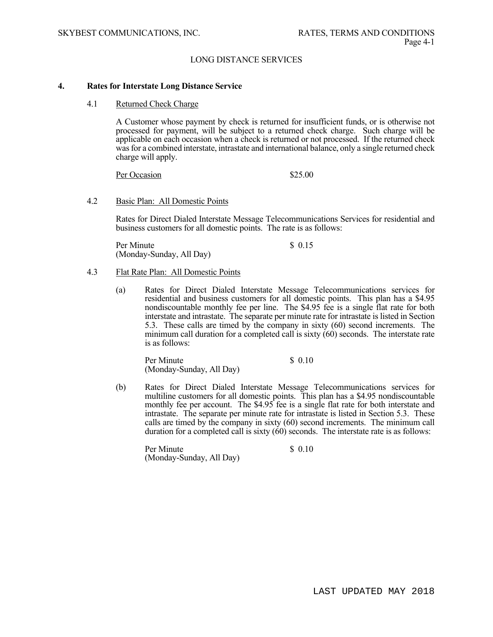#### **4. Rates for Interstate Long Distance Service**

#### 4.1 Returned Check Charge

 A Customer whose payment by check is returned for insufficient funds, or is otherwise not processed for payment, will be subject to a returned check charge. Such charge will be applicable on each occasion when a check is returned or not processed. If the returned check was for a combined interstate, intrastate and international balance, only a single returned check charge will apply.

Per Occasion \$25.00

#### 4.2 Basic Plan: All Domestic Points

Rates for Direct Dialed Interstate Message Telecommunications Services for residential and business customers for all domestic points. The rate is as follows:

Per Minute \$ 0.15 (Monday-Sunday, All Day)

#### 4.3 Flat Rate Plan: All Domestic Points

(a) Rates for Direct Dialed Interstate Message Telecommunications services for residential and business customers for all domestic points. This plan has a \$4.95 nondiscountable monthly fee per line. The \$4.95 fee is a single flat rate for both interstate and intrastate. The separate per minute rate for intrastate is listed in Section 5.3. These calls are timed by the company in sixty (60) second increments. The minimum call duration for a completed call is sixty  $(60)$  seconds. The interstate rate is as follows:

Per Minute \$ 0.10 (Monday-Sunday, All Day)

(b) Rates for Direct Dialed Interstate Message Telecommunications services for multiline customers for all domestic points. This plan has a \$4.95 nondiscountable monthly fee per account. The \$4.95 fee is a single flat rate for both interstate and intrastate. The separate per minute rate for intrastate is listed in Section 5.3. These calls are timed by the company in sixty (60) second increments. The minimum call duration for a completed call is sixty (60) seconds. The interstate rate is as follows:

Per Minute \$ 0.10 (Monday-Sunday, All Day)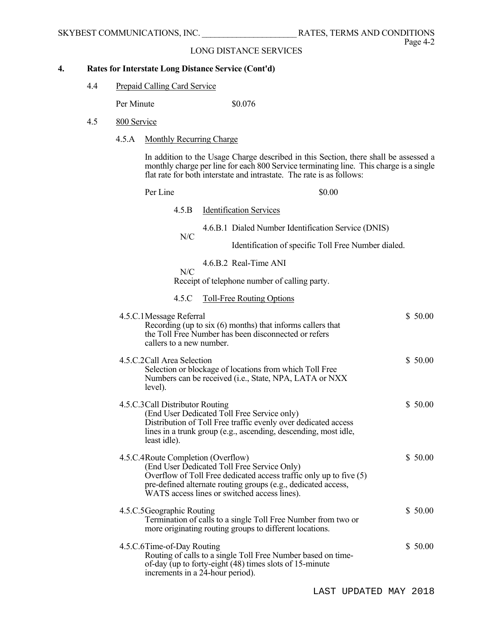#### $\overline{4}$ . **4. Rates for Interstate Long Distance Service (Cont'd)**

4.4 Prepaid Calling Card Service

Per Minute  $$0.076$ 

- 4.5 800 Service
	- 4.5.A Monthly Recurring Charge

 In addition to the Usage Charge described in this Section, there shall be assessed a monthly charge per line for each 800 Service terminating line. This charge is a single flat rate for both interstate and intrastate. The rate is as follows:

| Per Line                                             | \$0.00                                                                                                                                                                                                                                        |
|------------------------------------------------------|-----------------------------------------------------------------------------------------------------------------------------------------------------------------------------------------------------------------------------------------------|
| 4.5.B                                                | <b>Identification Services</b>                                                                                                                                                                                                                |
| N/C                                                  | 4.6.B.1 Dialed Number Identification Service (DNIS)                                                                                                                                                                                           |
|                                                      | Identification of specific Toll Free Number dialed.                                                                                                                                                                                           |
| N/C                                                  | 4.6.B.2 Real-Time ANI                                                                                                                                                                                                                         |
|                                                      | Receipt of telephone number of calling party.                                                                                                                                                                                                 |
| 4.5.C                                                | <b>Toll-Free Routing Options</b>                                                                                                                                                                                                              |
| 4.5.C.1 Message Referral<br>callers to a new number. | \$50.00<br>Recording (up to $six(6)$ months) that informs callers that<br>the Toll Free Number has been disconnected or refers                                                                                                                |
| 4.5.C.2Call Area Selection<br>level).                | \$50.00<br>Selection or blockage of locations from which Toll Free<br>Numbers can be received (i.e., State, NPA, LATA or NXX                                                                                                                  |
| 4.5.C.3 Call Distributor Routing<br>least idle).     | \$50.00<br>(End User Dedicated Toll Free Service only)<br>Distribution of Toll Free traffic evenly over dedicated access<br>lines in a trunk group (e.g., ascending, descending, most idle,                                                   |
| 4.5.C.4Route Completion (Overflow)                   | \$50.00<br>(End User Dedicated Toll Free Service Only)<br>Overflow of Toll Free dedicated access traffic only up to five (5)<br>pre-defined alternate routing groups (e.g., dedicated access,<br>WATS access lines or switched access lines). |
| 4.5.C.5 Geographic Routing                           | \$50.00<br>Termination of calls to a single Toll Free Number from two or<br>more originating routing groups to different locations.                                                                                                           |
| 4.5.C.6Time-of-Day Routing                           | \$50.00<br>Routing of calls to a single Toll Free Number based on time-<br>of-day (up to forty-eight (48) times slots of 15-minute<br>increments in a 24-hour period).                                                                        |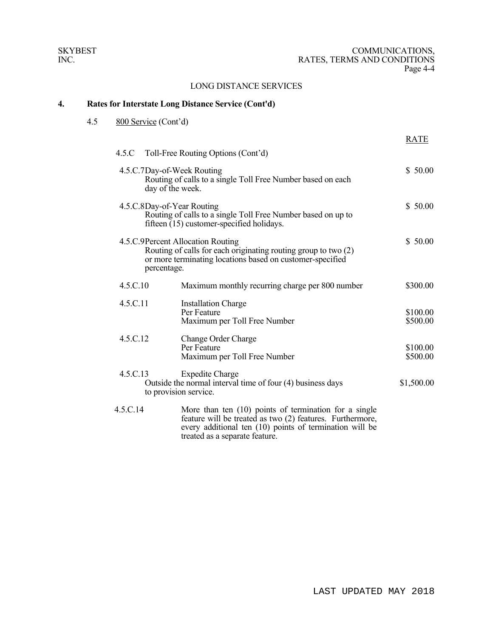#### $\overline{4}$ . **4. Rates for Interstate Long Distance Service (Cont'd)**

4.5 800 Service (Cont'd)

|          |                                                                                                                                                                                 | <b>RATE</b>          |
|----------|---------------------------------------------------------------------------------------------------------------------------------------------------------------------------------|----------------------|
|          | 4.5.C Toll-Free Routing Options (Cont'd)                                                                                                                                        |                      |
|          | 4.5.C.7Day-of-Week Routing<br>Routing of calls to a single Toll Free Number based on each<br>day of the week.                                                                   | \$50.00              |
|          | 4.5.C.8Day-of-Year Routing<br>Routing of calls to a single Toll Free Number based on up to<br>fifteen (15) customer-specified holidays.                                         | \$50.00              |
|          | 4.5.C.9Percent Allocation Routing<br>Routing of calls for each originating routing group to two (2)<br>or more terminating locations based on customer-specified<br>percentage. | \$50.00              |
| 4.5.C.10 | Maximum monthly recurring charge per 800 number                                                                                                                                 | \$300.00             |
| 4.5.C.11 | <b>Installation Charge</b><br>Per Feature<br>Maximum per Toll Free Number                                                                                                       | \$100.00<br>\$500.00 |
| 4.5.C.12 | Change Order Charge<br>Per Feature<br>Maximum per Toll Free Number                                                                                                              | \$100.00<br>\$500.00 |
| 4.5.C.13 | <b>Expedite Charge</b><br>Outside the normal interval time of four (4) business days<br>to provision service.                                                                   | \$1,500.00           |
| 4.5.C.14 | More than ten $(10)$ points of termination for a single<br>feature will be treated as two (2) features. Furthermore,<br>every additional ten (10) points of termination will be |                      |

treated as a separate feature.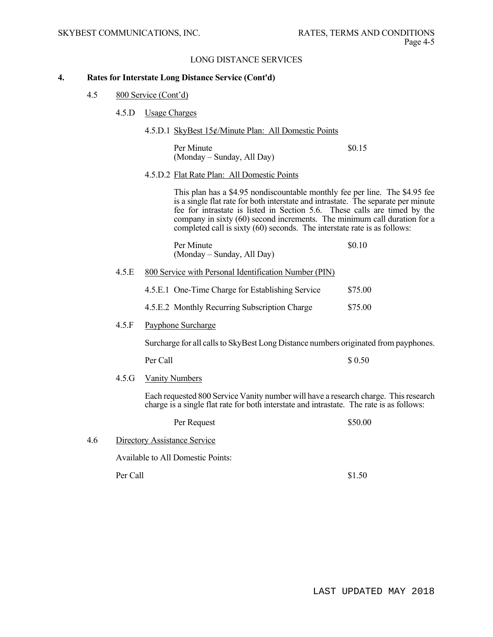#### **4. Rates for Interstate Long Distance Service (Cont'd)**

- 4.5 800 Service (Cont'd)
	- 4.5.D Usage Charges
		- 4.5.D.1 SkyBest 15¢/Minute Plan: All Domestic Points

Per Minute  $\qquad$  \$0.15 (Monday – Sunday, All Day)

4.5.D.2 Flat Rate Plan: All Domestic Points

 This plan has a \$4.95 nondiscountable monthly fee per line. The \$4.95 fee is a single flat rate for both interstate and intrastate. The separate per minute fee for intrastate is listed in Section 5.6. These calls are timed by the company in sixty (60) second increments. The minimum call duration for a completed call is sixty (60) seconds. The interstate rate is as follows:

| Per Minute                 | \$0.10 |
|----------------------------|--------|
| (Monday – Sunday, All Day) |        |

4.5.E 800 Service with Personal Identification Number (PIN)

| 4.5.E.1 One-Time Charge for Establishing Service | \$75.00 |
|--------------------------------------------------|---------|
|                                                  |         |

4.5.E.2 Monthly Recurring Subscription Charge \$75.00

#### 4.5.F Payphone Surcharge

Surcharge for all calls to SkyBest Long Distance numbers originated from payphones.

Per Call  $\sim$  8.0.50

4.5.G Vanity Numbers

Each requested 800 Service Vanity number will have a research charge. This research charge is a single flat rate for both interstate and intrastate. The rate is as follows:

|     | Per Request                       | \$50.00 |
|-----|-----------------------------------|---------|
| 4.6 | Directory Assistance Service      |         |
|     | Available to All Domestic Points: |         |
|     | Per Call                          | \$1.50  |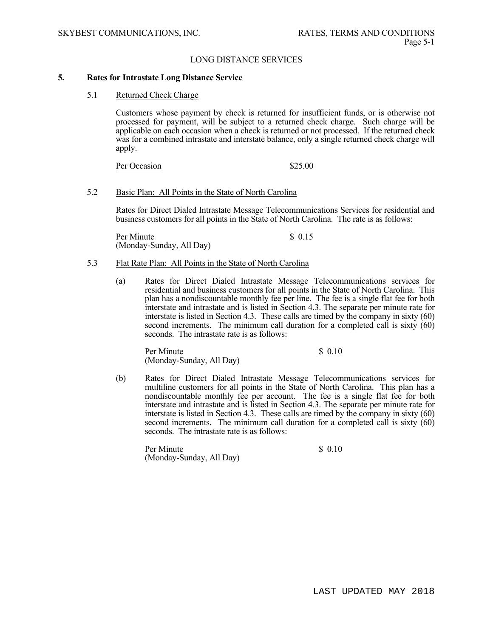#### **5. Rates for Intrastate Long Distance Service**

5.1 Returned Check Charge

 Customers whose payment by check is returned for insufficient funds, or is otherwise not processed for payment, will be subject to a returned check charge. Such charge will be applicable on each occasion when a check is returned or not processed. If the returned check was for a combined intrastate and interstate balance, only a single returned check charge will apply.

Per Occasion \$25.00

#### 5.2 Basic Plan: All Points in the State of North Carolina

Rates for Direct Dialed Intrastate Message Telecommunications Services for residential and business customers for all points in the State of North Carolina. The rate is as follows:

Per Minute \$ 0.15 (Monday-Sunday, All Day)

#### 5.3 Flat Rate Plan: All Points in the State of North Carolina

(a) Rates for Direct Dialed Intrastate Message Telecommunications services for residential and business customers for all points in the State of North Carolina. This plan has a nondiscountable monthly fee per line. The fee is a single flat fee for both interstate and intrastate and is listed in Section 4.3. The separate per minute rate for interstate is listed in Section 4.3. These calls are timed by the company in sixty (60) second increments. The minimum call duration for a completed call is sixty (60) seconds. The intrastate rate is as follows:

Per Minute  $\qquad \qquad$  \$ 0.10 (Monday-Sunday, All Day)

(b) Rates for Direct Dialed Intrastate Message Telecommunications services for multiline customers for all points in the State of North Carolina. This plan has a nondiscountable monthly fee per account. The fee is a single flat fee for both interstate and intrastate and is listed in Section 4.3. The separate per minute rate for interstate is listed in Section 4.3. These calls are timed by the company in sixty (60) second increments. The minimum call duration for a completed call is sixty (60) seconds. The intrastate rate is as follows:

Per Minute  $\qquad$  8 0.10 (Monday-Sunday, All Day)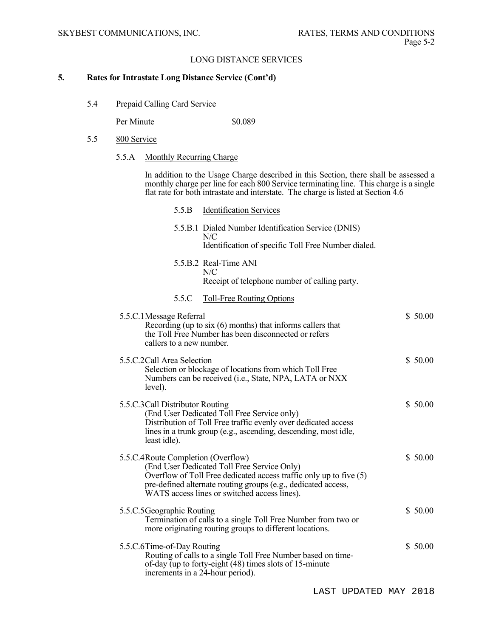#### **5. Rates for Intrastate Long Distance Service (Cont'd)**

5.4 Prepaid Calling Card Service

Per Minute  $\$0.089$ 

- 5.5 800 Service
	- 5.5.A Monthly Recurring Charge

 In addition to the Usage Charge described in this Section, there shall be assessed a monthly charge per line for each 800 Service terminating line. This charge is a single flat rate for both intrastate and interstate. The charge is listed at Section 4.6

 5.5.B Identification Services 5.5.B.1 Dialed Number Identification Service (DNIS)  $N/C$  Identification of specific Toll Free Number dialed. 5.5.B.2 Real-Time ANI N/C Receipt of telephone number of calling party. 5.5.C Toll-Free Routing Options 5.5.C.1 Message Referral \$ 50.00 Recording (up to six (6) months) that informs callers that the Toll Free Number has been disconnected or refers callers to a new number. 5.5.C.2 Call Area Selection  $$50.00$  Selection or blockage of locations from which Toll Free Numbers can be received (i.e., State, NPA, LATA or NXX level). 5.5.C.3 Call Distributor Routing \$ 50.00 (End User Dedicated Toll Free Service only) Distribution of Toll Free traffic evenly over dedicated access lines in a trunk group (e.g., ascending, descending, most idle, least idle). 5.5.C.4 Route Completion (Overflow) \$ 50.00 (End User Dedicated Toll Free Service Only) Overflow of Toll Free dedicated access traffic only up to five (5) pre-defined alternate routing groups (e.g., dedicated access, WATS access lines or switched access lines). 5.5.C.5 Geographic Routing  $$50.00$  Termination of calls to a single Toll Free Number from two or more originating routing groups to different locations. 5.5.C.6 Time-of-Day Routing  $$50.00$  Routing of calls to a single Toll Free Number based on time of-day (up to forty-eight (48) times slots of 15-minute increments in a 24-hour period).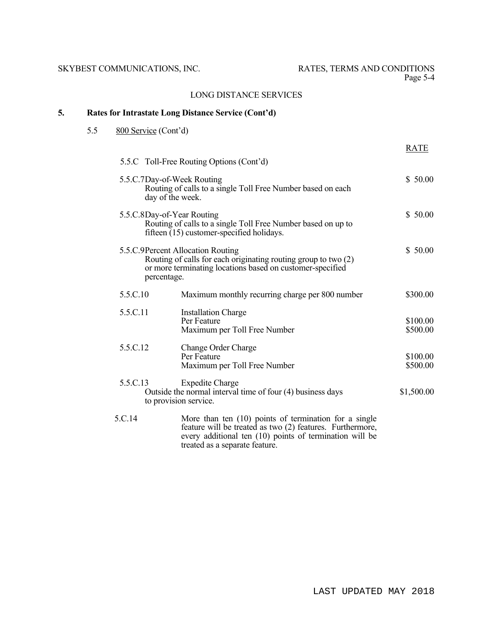## **5. Rates for Intrastate Long Distance Service (Cont'd)**

## 5.5 800 Service (Cont'd)

|          |                                                                                                                                                                                 | <b>RATE</b>          |
|----------|---------------------------------------------------------------------------------------------------------------------------------------------------------------------------------|----------------------|
|          | 5.5.C Toll-Free Routing Options (Cont'd)                                                                                                                                        |                      |
|          | 5.5.C.7Day-of-Week Routing<br>Routing of calls to a single Toll Free Number based on each<br>day of the week.                                                                   | \$50.00              |
|          | 5.5.C.8Day-of-Year Routing<br>Routing of calls to a single Toll Free Number based on up to<br>fifteen (15) customer-specified holidays.                                         | \$50.00              |
|          | 5.5.C.9Percent Allocation Routing<br>Routing of calls for each originating routing group to two (2)<br>or more terminating locations based on customer-specified<br>percentage. | \$50.00              |
| 5.5.C.10 | Maximum monthly recurring charge per 800 number                                                                                                                                 | \$300.00             |
| 5.5.C.11 | <b>Installation Charge</b><br>Per Feature<br>Maximum per Toll Free Number                                                                                                       | \$100.00<br>\$500.00 |
| 5.5.C.12 | Change Order Charge<br>Per Feature<br>Maximum per Toll Free Number                                                                                                              | \$100.00<br>\$500.00 |
| 5.5.C.13 | <b>Expedite Charge</b><br>Outside the normal interval time of four (4) business days<br>to provision service.                                                                   | \$1,500.00           |
| 5.C.14   | More than ten $(10)$ points of termination for a single<br>feature will be treated as two (2) features. Furthermore,                                                            |                      |

feature will be treated as two (2) features. Furthermore, every additional ten (10) points of termination will be treated as a separate feature.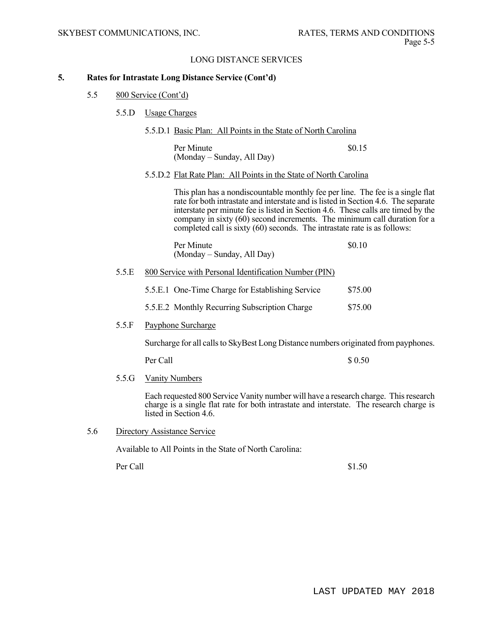#### **5. Rates for Intrastate Long Distance Service (Cont'd)**

- 5.5 800 Service (Cont'd)
	- 5.5.D Usage Charges
		- 5.5.D.1 Basic Plan: All Points in the State of North Carolina

Per Minute  $\qquad$  \$0.15 (Monday – Sunday, All Day)

5.5.D.2 Flat Rate Plan: All Points in the State of North Carolina

 This plan has a nondiscountable monthly fee per line. The fee is a single flat rate for both intrastate and interstate and is listed in Section 4.6. The separate interstate per minute fee is listed in Section 4.6. These calls are timed by the company in sixty (60) second increments. The minimum call duration for a completed call is sixty (60) seconds. The intrastate rate is as follows:

| Per Minute                 | \$0.10 |
|----------------------------|--------|
| (Monday – Sunday, All Day) |        |

5.5.E 800 Service with Personal Identification Number (PIN)

| 5.5.E.1 One-Time Charge for Establishing Service | \$75.00 |
|--------------------------------------------------|---------|
|                                                  |         |

- 5.5.E.2 Monthly Recurring Subscription Charge \$75.00
- 5.5.F Payphone Surcharge

Surcharge for all calls to SkyBest Long Distance numbers originated from payphones.

Per Call  $\sim$  8.0.50

5.5.G Vanity Numbers

Each requested 800 Service Vanity number will have a research charge. This research charge is a single flat rate for both intrastate and interstate. The research charge is listed in Section 4.6.

5.6 Directory Assistance Service

Available to All Points in the State of North Carolina:

Per Call  $$1.50$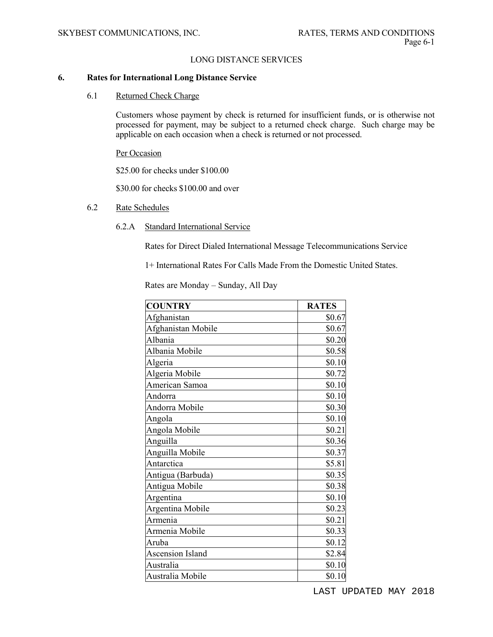#### **6. Rates for International Long Distance Service**

6.1 Returned Check Charge

 Customers whose payment by check is returned for insufficient funds, or is otherwise not processed for payment, may be subject to a returned check charge. Such charge may be applicable on each occasion when a check is returned or not processed.

Per Occasion

\$25.00 for checks under \$100.00

\$30.00 for checks \$100.00 and over

#### 6.2 Rate Schedules

6.2.A Standard International Service

Rates for Direct Dialed International Message Telecommunications Service

1+ International Rates For Calls Made From the Domestic United States.

Rates are Monday – Sunday, All Day

| <b>COUNTRY</b>     | <b>RATES</b> |
|--------------------|--------------|
| Afghanistan        | \$0.67       |
| Afghanistan Mobile | \$0.67       |
| Albania            | \$0.20       |
| Albania Mobile     | \$0.58       |
| Algeria            | \$0.10       |
| Algeria Mobile     | \$0.72       |
| American Samoa     | \$0.10       |
| Andorra            | \$0.10       |
| Andorra Mobile     | \$0.30       |
| Angola             | \$0.10       |
| Angola Mobile      | \$0.21       |
| Anguilla           | \$0.36       |
| Anguilla Mobile    | \$0.37       |
| Antarctica         | \$5.81       |
| Antigua (Barbuda)  | \$0.35       |
| Antigua Mobile     | \$0.38       |
| Argentina          | \$0.10       |
| Argentina Mobile   | \$0.23       |
| Armenia            | \$0.21       |
| Armenia Mobile     | \$0.33       |
| Aruba              | \$0.12       |
| Ascension Island   | \$2.84       |
| Australia          | \$0.10       |
| Australia Mobile   | \$0.10       |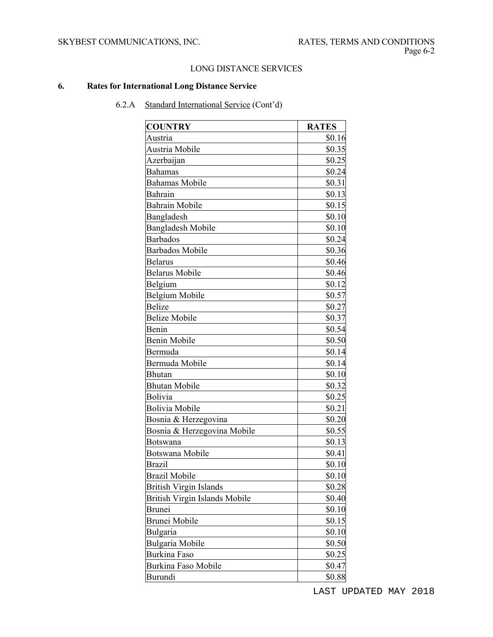# **6. Rates for International Long Distance Service**

| <b>COUNTRY</b>                | <b>RATES</b> |
|-------------------------------|--------------|
| Austria                       | \$0.16       |
| Austria Mobile                | \$0.35       |
| Azerbaijan                    | \$0.25       |
| Bahamas                       | \$0.24       |
| <b>Bahamas Mobile</b>         | \$0.31       |
| Bahrain                       | \$0.13       |
| <b>Bahrain Mobile</b>         | \$0.15       |
| Bangladesh                    | \$0.10       |
| <b>Bangladesh Mobile</b>      | \$0.10       |
| <b>Barbados</b>               | \$0.24       |
| <b>Barbados Mobile</b>        | \$0.36       |
| <b>Belarus</b>                | \$0.46       |
| <b>Belarus Mobile</b>         | \$0.46       |
| Belgium                       | \$0.12       |
| Belgium Mobile                | \$0.57       |
| Belize                        | \$0.27       |
| <b>Belize Mobile</b>          | \$0.37       |
| Benin                         | \$0.54       |
| Benin Mobile                  | \$0.50       |
| Bermuda                       | \$0.14       |
| Bermuda Mobile                | \$0.14       |
| <b>Bhutan</b>                 | \$0.10       |
| <b>Bhutan Mobile</b>          | \$0.32       |
| Bolivia                       | \$0.25       |
| <b>Bolivia Mobile</b>         | \$0.21       |
| Bosnia & Herzegovina          | \$0.20       |
| Bosnia & Herzegovina Mobile   | \$0.55       |
| Botswana                      | \$0.13       |
| <b>Botswana Mobile</b>        | \$0.41       |
| <b>Brazil</b>                 | \$0.10       |
| <b>Brazil Mobile</b>          | \$0.10       |
| <b>British Virgin Islands</b> | \$0.28       |
| British Virgin Islands Mobile | \$0.40       |
| Brunei                        | \$0.10       |
| Brunei Mobile                 | \$0.15       |
| Bulgaria                      | \$0.10       |
| <b>Bulgaria Mobile</b>        | \$0.50       |
| <b>Burkina Faso</b>           | \$0.25       |
| <b>Burkina Faso Mobile</b>    | \$0.47       |
| Burundi                       | \$0.88       |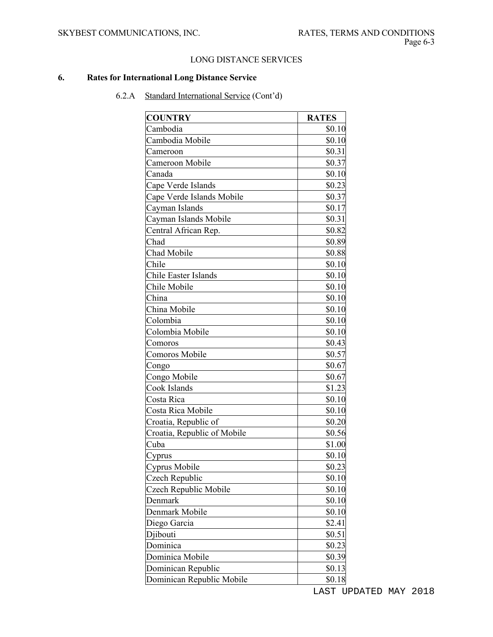## **6. Rates for International Long Distance Service**

| <b>COUNTRY</b>              | <b>RATES</b> |
|-----------------------------|--------------|
| Cambodia                    | \$0.10       |
| Cambodia Mobile             | \$0.10       |
| Cameroon                    | \$0.31       |
| Cameroon Mobile             | \$0.37       |
| Canada                      | \$0.10       |
| Cape Verde Islands          | \$0.23       |
| Cape Verde Islands Mobile   | \$0.37       |
| Cayman Islands              | \$0.17       |
| Cayman Islands Mobile       | \$0.31       |
| Central African Rep.        | \$0.82       |
| Chad                        | \$0.89       |
| Chad Mobile                 | \$0.88       |
| Chile                       | \$0.10       |
| Chile Easter Islands        | \$0.10       |
| Chile Mobile                | \$0.10       |
| China                       | \$0.10       |
| China Mobile                | \$0.10       |
| Colombia                    | \$0.10       |
| Colombia Mobile             | \$0.10       |
| Comoros                     | \$0.43       |
| Comoros Mobile              | \$0.57       |
| Congo                       | \$0.67       |
| Congo Mobile                | \$0.67       |
| Cook Islands                | \$1.23       |
| Costa Rica                  | \$0.10       |
| Costa Rica Mobile           | \$0.10       |
| Croatia, Republic of        | \$0.20       |
| Croatia, Republic of Mobile | \$0.56       |
| Cuba                        | \$1.00       |
| Cyprus                      | \$0.10       |
| Cyprus Mobile               | \$0.23       |
| Czech Republic              | \$0.10       |
| Czech Republic Mobile       | \$0.10       |
| Denmark                     | \$0.10       |
| Denmark Mobile              | \$0.10       |
| Diego Garcia                | \$2.41       |
| Djibouti                    | \$0.51       |
| Dominica                    | \$0.23       |
| Dominica Mobile             | \$0.39       |
| Dominican Republic          | \$0.13       |
| Dominican Republic Mobile   | \$0.18       |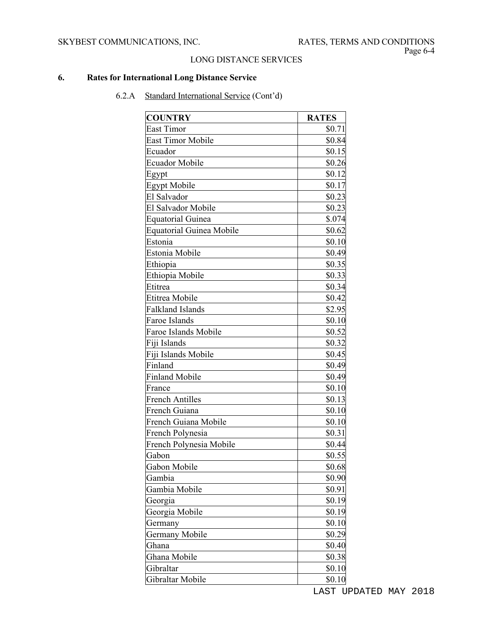## **6. Rates for International Long Distance Service**

| <b>COUNTRY</b>                  | <b>RATES</b> |
|---------------------------------|--------------|
| East Timor                      | \$0.71       |
| <b>East Timor Mobile</b>        | \$0.84       |
| Ecuador                         | \$0.15       |
| <b>Ecuador Mobile</b>           | \$0.26       |
| Egypt                           | \$0.12       |
| <b>Egypt Mobile</b>             | \$0.17       |
| El Salvador                     | \$0.23       |
| El Salvador Mobile              | \$0.23       |
| <b>Equatorial Guinea</b>        | \$.074       |
| <b>Equatorial Guinea Mobile</b> | \$0.62       |
| Estonia                         | \$0.10       |
| Estonia Mobile                  | \$0.49       |
| Ethiopia                        | \$0.35       |
| Ethiopia Mobile                 | \$0.33       |
| Etitrea                         | \$0.34       |
| Etitrea Mobile                  | \$0.42       |
| Falkland Islands                | \$2.95       |
| Faroe Islands                   | \$0.10       |
| <b>Faroe Islands Mobile</b>     | \$0.52       |
| Fiji Islands                    | \$0.32       |
| Fiji Islands Mobile             | \$0.45       |
| Finland                         | \$0.49       |
| <b>Finland Mobile</b>           | \$0.49       |
| France                          | \$0.10       |
| <b>French Antilles</b>          | \$0.13       |
| French Guiana                   | \$0.10       |
| French Guiana Mobile            | \$0.10       |
| French Polynesia                | \$0.31       |
| French Polynesia Mobile         | \$0.44       |
| Gabon                           | \$0.55       |
| Gabon Mobile                    | \$0.68       |
| Gambia                          | \$0.90       |
| Gambia Mobile                   | \$0.91       |
| Georgia                         | \$0.19       |
| Georgia Mobile                  | \$0.19       |
| Germany                         | \$0.10       |
| <b>Germany Mobile</b>           | \$0.29       |
| Ghana                           | \$0.40       |
| Ghana Mobile                    | \$0.38       |
| Gibraltar                       | \$0.10       |
| Gibraltar Mobile                | \$0.10       |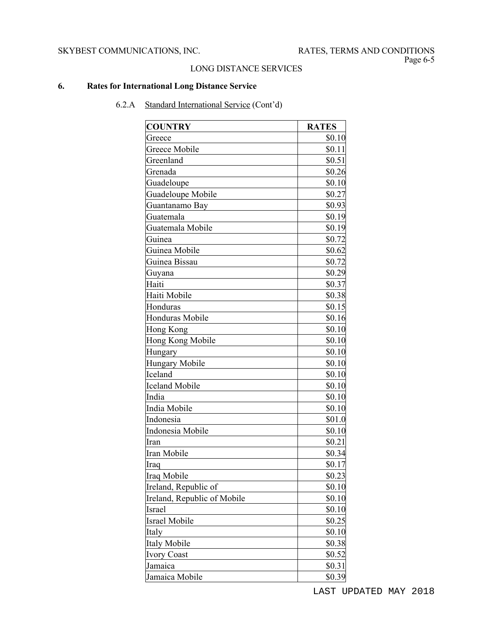# **6. Rates for International Long Distance Service**

6.2.A Standard International Service (Cont'd)

| <b>COUNTRY</b>              | <b>RATES</b> |
|-----------------------------|--------------|
| Greece                      | \$0.10       |
| Greece Mobile               | \$0.11       |
| Greenland                   | \$0.51       |
| Grenada                     | \$0.26       |
| Guadeloupe                  | \$0.10       |
| Guadeloupe Mobile           | \$0.27       |
| Guantanamo Bay              | \$0.93       |
| Guatemala                   | \$0.19       |
| Guatemala Mobile            | \$0.19       |
| Guinea                      | \$0.72       |
| Guinea Mobile               | \$0.62       |
| Guinea Bissau               | \$0.72       |
| Guyana                      | \$0.29       |
| Haiti                       | \$0.37       |
| Haiti Mobile                | \$0.38       |
| Honduras                    | \$0.15       |
| <b>Honduras Mobile</b>      | \$0.16       |
| <b>Hong Kong</b>            | \$0.10       |
| Hong Kong Mobile            | \$0.10       |
| Hungary                     | \$0.10       |
| <b>Hungary Mobile</b>       | \$0.10       |
| Iceland                     | \$0.10       |
| <b>Iceland Mobile</b>       | \$0.10       |
| India                       | \$0.10       |
| India Mobile                | \$0.10       |
| Indonesia                   | \$01.0       |
| Indonesia Mobile            | \$0.10       |
| Iran                        | \$0.21       |
| Iran Mobile                 | \$0.34       |
| Iraq                        | \$0.17       |
| Iraq Mobile                 | \$0.23       |
| Ireland, Republic of        | \$0.10       |
| Ireland, Republic of Mobile | \$0.10       |
| Israel                      | \$0.10       |
| <b>Israel Mobile</b>        | \$0.25       |
| Italy                       | \$0.10       |
| <b>Italy Mobile</b>         | \$0.38       |
| <b>Ivory Coast</b>          | \$0.52       |
| Jamaica                     | \$0.31       |
| Jamaica Mobile              | \$0.39       |

LAST UPDATED MAY 2018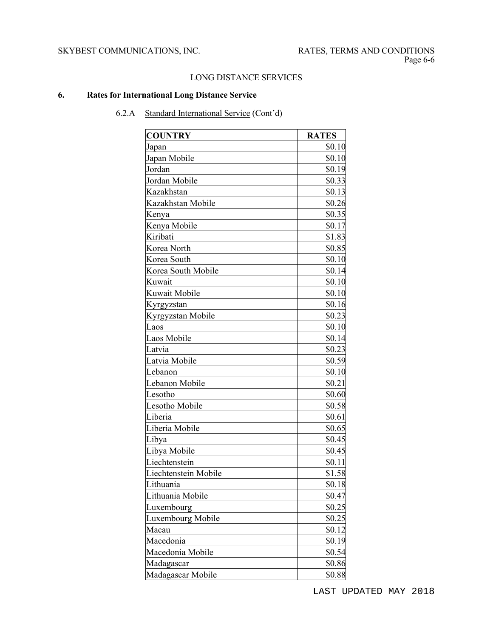## **6. Rates for International Long Distance Service**

| <b>COUNTRY</b>       | <b>RATES</b> |
|----------------------|--------------|
| Japan                | \$0.10       |
| Japan Mobile         | \$0.10       |
| Jordan               | \$0.19       |
| Jordan Mobile        | \$0.33       |
| Kazakhstan           | \$0.13       |
| Kazakhstan Mobile    | \$0.26       |
| Kenya                | \$0.35       |
| Kenya Mobile         | \$0.17       |
| Kiribati             | \$1.83       |
| Korea North          | \$0.85       |
| Korea South          | \$0.10       |
| Korea South Mobile   | \$0.14       |
| Kuwait               | \$0.10       |
| Kuwait Mobile        | \$0.10       |
| Kyrgyzstan           | \$0.16       |
| Kyrgyzstan Mobile    | \$0.23       |
| Laos                 | \$0.10       |
| Laos Mobile          | \$0.14       |
| Latvia               | \$0.23       |
| Latvia Mobile        | \$0.59       |
| Lebanon              | \$0.10       |
| Lebanon Mobile       | \$0.21       |
| Lesotho              | \$0.60       |
| Lesotho Mobile       | \$0.58       |
| Liberia              | \$0.61       |
| Liberia Mobile       | \$0.65       |
| Libya                | \$0.45       |
| Libya Mobile         | \$0.45       |
| Liechtenstein        | \$0.11       |
| Liechtenstein Mobile | \$1.58       |
| Lithuania            | \$0.18       |
| Lithuania Mobile     | \$0.47       |
| Luxembourg           | \$0.25       |
| Luxembourg Mobile    | \$0.25       |
| Macau                | \$0.12       |
| Macedonia            | \$0.19       |
| Macedonia Mobile     | \$0.54       |
| Madagascar           | \$0.86       |
| Madagascar Mobile    | \$0.88       |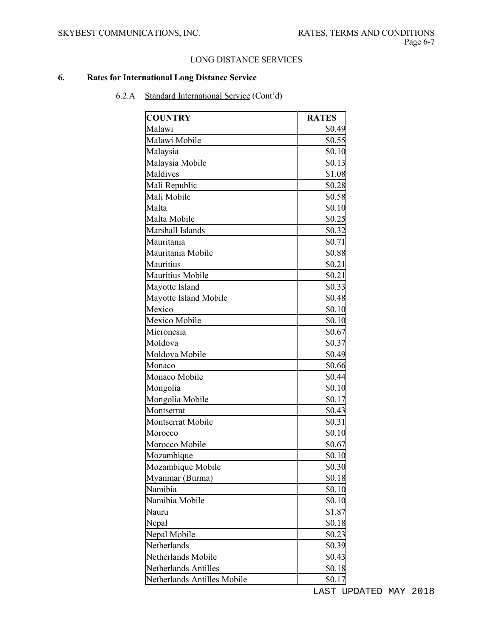## **6. Rates for International Long Distance Service**

| <b>COUNTRY</b>              | <b>RATES</b> |
|-----------------------------|--------------|
| Malawi                      | \$0.49       |
| Malawi Mobile               | \$0.55       |
| Malaysia                    | \$0.10       |
| Malaysia Mobile             | \$0.13       |
| Maldives                    | \$1.08       |
| Mali Republic               | \$0.28       |
| Mali Mobile                 | \$0.58       |
| Malta                       | \$0.10       |
| Malta Mobile                | \$0.25       |
| Marshall Islands            | \$0.32       |
| Mauritania                  | \$0.71       |
| Mauritania Mobile           | \$0.88       |
| Mauritius                   | \$0.21       |
| Mauritius Mobile            | \$0.21       |
| Mayotte Island              | \$0.33       |
| Mayotte Island Mobile       | \$0.48       |
| Mexico                      | \$0.10       |
| Mexico Mobile               | \$0.10       |
| Micronesia                  | \$0.67       |
| Moldova                     | \$0.37       |
| Moldova Mobile              | \$0.49       |
| Monaco                      | \$0.66       |
| Monaco Mobile               | \$0.44       |
| Mongolia                    | \$0.10       |
| Mongolia Mobile             | \$0.17       |
| Montserrat                  | \$0.43       |
| Montserrat Mobile           | \$0.31       |
| Morocco                     | \$0.10       |
| Morocco Mobile              | \$0.67       |
| Mozambique                  | \$0.10       |
| Mozambique Mobile           | \$0.30       |
| Myanmar (Burma)             | \$0.18       |
| Namibia                     | \$0.10       |
| Namibia Mobile              | \$0.10       |
| Nauru                       | \$1.87       |
| Nepal                       | \$0.18       |
| Nepal Mobile                | \$0.23       |
| Netherlands                 | \$0.39       |
| Netherlands Mobile          | \$0.43       |
| Netherlands Antilles        | \$0.18       |
| Netherlands Antilles Mobile | \$0.17       |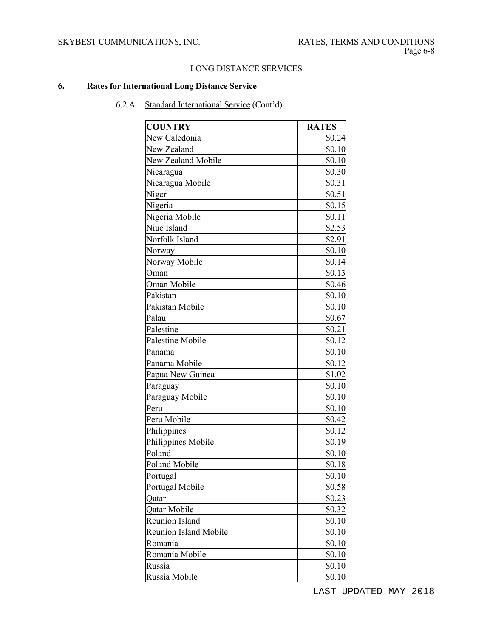# **6. Rates for International Long Distance Service**

| <b>COUNTRY</b>               | <b>RATES</b> |
|------------------------------|--------------|
| New Caledonia                | \$0.24       |
| New Zealand                  | \$0.10       |
| New Zealand Mobile           | \$0.10       |
| Nicaragua                    | \$0.30       |
| Nicaragua Mobile             | \$0.31       |
| Niger                        | \$0.51       |
| Nigeria                      | \$0.15       |
| Nigeria Mobile               | \$0.11       |
| Niue Island                  | \$2.53       |
| Norfolk Island               | \$2.91       |
| Norway                       | \$0.10       |
| Norway Mobile                | \$0.14       |
| Oman                         | \$0.13       |
| Oman Mobile                  | \$0.46       |
| Pakistan                     | \$0.10       |
| Pakistan Mobile              | \$0.10       |
| Palau                        | \$0.67       |
| Palestine                    | \$0.21       |
| Palestine Mobile             | \$0.12       |
| Panama                       | \$0.10       |
| Panama Mobile                | \$0.12       |
| Papua New Guinea             | \$1.02       |
| Paraguay                     | \$0.10       |
| Paraguay Mobile              | \$0.10       |
| Peru                         | \$0.10       |
| Peru Mobile                  | \$0.42       |
| Philippines                  | \$0.12       |
| Philippines Mobile           | \$0.19       |
| Poland                       | \$0.10       |
| <b>Poland Mobile</b>         | \$0.18       |
| Portugal                     | \$0.10       |
| Portugal Mobile              | \$0.58       |
| Qatar                        | \$0.23       |
| Qatar Mobile                 | \$0.32       |
| <b>Reunion Island</b>        | \$0.10       |
| <b>Reunion Island Mobile</b> | \$0.10       |
| Romania                      | \$0.10       |
| Romania Mobile               | \$0.10       |
| Russia                       | \$0.10       |
| Russia Mobile                | \$0.10       |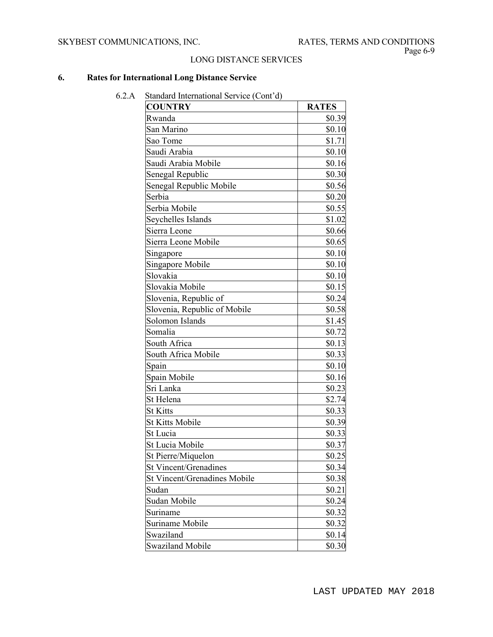## **6. Rates for International Long Distance Service**

| <b>COUNTRY</b>               | <b>RATES</b> |
|------------------------------|--------------|
| Rwanda                       | \$0.39       |
| San Marino                   | \$0.10       |
| Sao Tome                     | \$1.71       |
| Saudi Arabia                 | \$0.10       |
| Saudi Arabia Mobile          | \$0.16       |
| Senegal Republic             | \$0.30       |
| Senegal Republic Mobile      | \$0.56       |
| Serbia                       | \$0.20       |
| Serbia Mobile                | \$0.55       |
| Seychelles Islands           | \$1.02       |
| Sierra Leone                 | \$0.66       |
| Sierra Leone Mobile          | \$0.65       |
| Singapore                    | \$0.10       |
| Singapore Mobile             | \$0.10       |
| Slovakia                     | \$0.10       |
| Slovakia Mobile              | \$0.15       |
| Slovenia, Republic of        | \$0.24       |
| Slovenia, Republic of Mobile | \$0.58       |
| Solomon Islands              | \$1.45       |
| Somalia                      | \$0.72       |
| South Africa                 | \$0.13       |
| South Africa Mobile          | \$0.33       |
| Spain                        | \$0.10       |
| Spain Mobile                 | \$0.16       |
| Sri Lanka                    | \$0.23       |
| St Helena                    | \$2.74       |
| <b>St Kitts</b>              | \$0.33       |
| <b>St Kitts Mobile</b>       | \$0.39       |
| St Lucia                     | \$0.33       |
| St Lucia Mobile              | \$0.37       |
| St Pierre/Miquelon           | \$0.25       |
| <b>St Vincent/Grenadines</b> | \$0.34       |
| St Vincent/Grenadines Mobile | \$0.38       |
| Sudan                        | \$0.21       |
| Sudan Mobile                 | \$0.24       |
| Suriname                     | \$0.32       |
| Suriname Mobile              | \$0.32       |
| Swaziland                    | \$0.14       |
| <b>Swaziland Mobile</b>      | \$0.30       |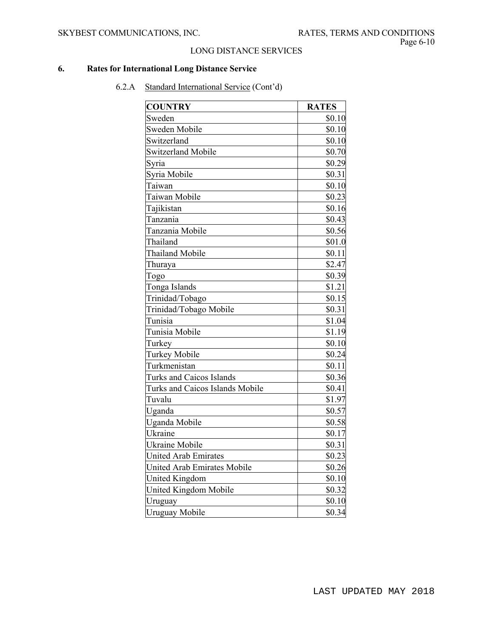## **6. Rates for International Long Distance Service**

| <b>COUNTRY</b>                     | <b>RATES</b> |
|------------------------------------|--------------|
| Sweden                             | \$0.10       |
| Sweden Mobile                      | \$0.10       |
| Switzerland                        | \$0.10       |
| <b>Switzerland Mobile</b>          | \$0.70       |
| Syria                              | \$0.29       |
| Syria Mobile                       | \$0.31       |
| Taiwan                             | \$0.10       |
| Taiwan Mobile                      | \$0.23       |
| Tajikistan                         | \$0.16       |
| Tanzania                           | \$0.43       |
| Tanzania Mobile                    | \$0.56       |
| Thailand                           | \$01.0       |
| Thailand Mobile                    | \$0.11       |
| Thuraya                            | \$2.47       |
| Togo                               | \$0.39       |
| Tonga Islands                      | \$1.21       |
| Trinidad/Tobago                    | \$0.15       |
| Trinidad/Tobago Mobile             | \$0.31       |
| Tunisia                            | \$1.04       |
| Tunisia Mobile                     | \$1.19       |
| Turkey                             | \$0.10       |
| Turkey Mobile                      | \$0.24       |
| Turkmenistan                       | \$0.11       |
| Turks and Caicos Islands           | \$0.36       |
| Turks and Caicos Islands Mobile    | \$0.41       |
| Tuvalu                             | \$1.97       |
| Uganda                             | \$0.57       |
| Uganda Mobile                      | \$0.58       |
| Ukraine                            | \$0.17       |
| Ukraine Mobile                     | \$0.31       |
| <b>United Arab Emirates</b>        | \$0.23       |
| <b>United Arab Emirates Mobile</b> | \$0.26       |
| United Kingdom                     | \$0.10       |
| United Kingdom Mobile              | \$0.32       |
| Uruguay                            | \$0.10       |
| <b>Uruguay Mobile</b>              | \$0.34       |